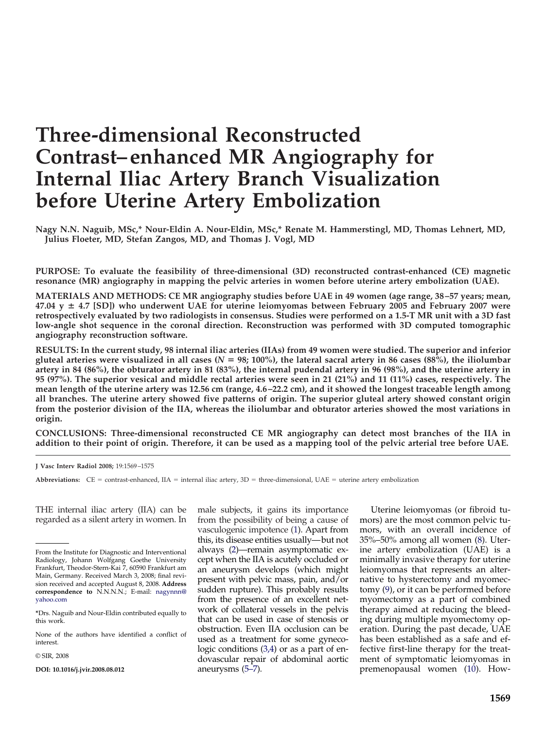# **Three-dimensional Reconstructed Contrast– enhanced MR Angiography for Internal Iliac Artery Branch Visualization before Uterine Artery Embolization**

**Nagy N.N. Naguib, MSc,\* Nour-Eldin A. Nour-Eldin, MSc,\* Renate M. Hammerstingl, MD, Thomas Lehnert, MD, Julius Floeter, MD, Stefan Zangos, MD, and Thomas J. Vogl, MD**

**PURPOSE: To evaluate the feasibility of three-dimensional (3D) reconstructed contrast-enhanced (CE) magnetic resonance (MR) angiography in mapping the pelvic arteries in women before uterine artery embolization (UAE).**

**MATERIALS AND METHODS: CE MR angiography studies before UAE in 49 women (age range, 38 –57 years; mean, 47.04 y 4.7 [SD]) who underwent UAE for uterine leiomyomas between February 2005 and February 2007 were retrospectively evaluated by two radiologists in consensus. Studies were performed on a 1.5-T MR unit with a 3D fast low-angle shot sequence in the coronal direction. Reconstruction was performed with 3D computed tomographic angiography reconstruction software.**

**RESULTS: In the current study, 98 internal iliac arteries (IIAs) from 49 women were studied. The superior and inferior** gluteal arteries were visualized in all cases (N = 98; 100%), the lateral sacral artery in 86 cases (88%), the iliolumbar **artery in 84 (86%), the obturator artery in 81 (83%), the internal pudendal artery in 96 (98%), and the uterine artery in 95 (97%). The superior vesical and middle rectal arteries were seen in 21 (21%) and 11 (11%) cases, respectively. The mean length of the uterine artery was 12.56 cm (range, 4.6 –22.2 cm), and it showed the longest traceable length among all branches. The uterine artery showed five patterns of origin. The superior gluteal artery showed constant origin from the posterior division of the IIA, whereas the iliolumbar and obturator arteries showed the most variations in origin.**

**CONCLUSIONS: Three-dimensional reconstructed CE MR angiography can detect most branches of the IIA in addition to their point of origin. Therefore, it can be used as a mapping tool of the pelvic arterial tree before UAE.**

**J Vasc Interv Radiol 2008;** 19:1569 –1575

**Abbreviations:**  $CE =$  contrast-enhanced,  $IIA =$  internal iliac artery,  $3D =$  three-dimensional,  $UAE =$  uterine artery embolization

THE internal iliac artery (IIA) can be regarded as a silent artery in women. In

© SIR, 2008

**DOI: 10.1016/j.jvir.2008.08.012**

male subjects, it gains its importance from the possibility of being a cause of vasculogenic impotence [\(1\)](#page-6-0). Apart from this, its disease entities usually—but not always [\(2\)](#page-6-0)—remain asymptomatic except when the IIA is acutely occluded or an aneurysm develops (which might present with pelvic mass, pain, and/or sudden rupture). This probably results from the presence of an excellent network of collateral vessels in the pelvis that can be used in case of stenosis or obstruction. Even IIA occlusion can be used as a treatment for some gynecologic conditions [\(3,4\)](#page-6-0) or as a part of endovascular repair of abdominal aortic aneurysms [\(5–7\)](#page-6-0).

Uterine leiomyomas (or fibroid tumors) are the most common pelvic tumors, with an overall incidence of 35%–50% among all women [\(8\)](#page-6-0). Uterine artery embolization (UAE) is a minimally invasive therapy for uterine leiomyomas that represents an alternative to hysterectomy and myomectomy [\(9\)](#page-6-0), or it can be performed before myomectomy as a part of combined therapy aimed at reducing the bleeding during multiple myomectomy operation. During the past decade, UAE has been established as a safe and effective first-line therapy for the treatment of symptomatic leiomyomas in premenopausal women [\(10\)](#page-6-0). How-

From the Institute for Diagnostic and Interventional Radiology, Johann Wolfgang Goethe University Frankfurt, Theodor-Stern-Kai 7, 60590 Frankfurt am Main, Germany. Received March 3, 2008; final revision received and accepted August 8, 2008. **Address correspondence to** N.N.N.N.; E-mail: [nagynnn@](mailto:nagynnn@yahoo.com) [yahoo.com](mailto:nagynnn@yahoo.com)

**<sup>\*</sup>**Drs. Naguib and Nour-Eldin contributed equally to this work.

None of the authors have identified a conflict of interest.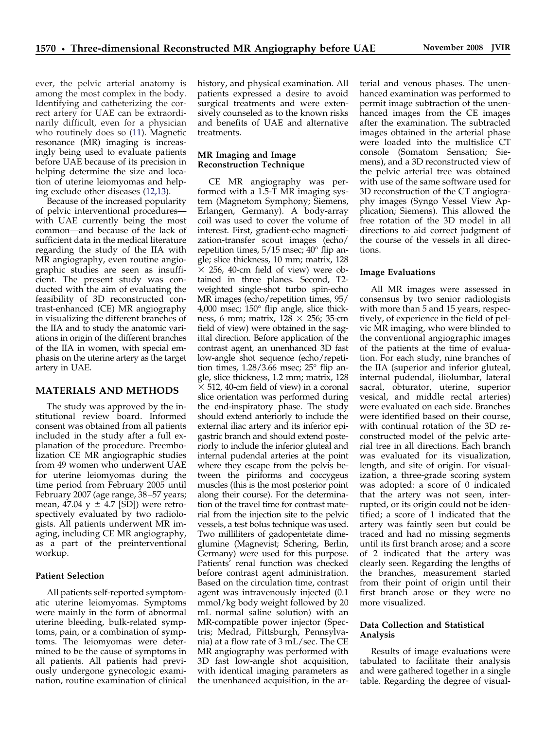ever, the pelvic arterial anatomy is among the most complex in the body. Identifying and catheterizing the correct artery for UAE can be extraordinarily difficult, even for a physician who routinely does so [\(11\)](#page-6-0). Magnetic resonance (MR) imaging is increasingly being used to evaluate patients before UAE because of its precision in helping determine the size and location of uterine leiomyomas and helping exclude other diseases [\(12,13\)](#page-6-0).

Because of the increased popularity of pelvic interventional procedures with UAE currently being the most common—and because of the lack of sufficient data in the medical literature regarding the study of the IIA with MR angiography, even routine angiographic studies are seen as insufficient. The present study was conducted with the aim of evaluating the feasibility of 3D reconstructed contrast-enhanced (CE) MR angiography in visualizing the different branches of the IIA and to study the anatomic variations in origin of the different branches of the IIA in women, with special emphasis on the uterine artery as the target artery in UAE.

# **MATERIALS AND METHODS**

The study was approved by the institutional review board. Informed consent was obtained from all patients included in the study after a full explanation of the procedure. Preembolization CE MR angiographic studies from 49 women who underwent UAE for uterine leiomyomas during the time period from February 2005 until February 2007 (age range, 38 –57 years; mean, 47.04 y  $\pm$  4.7 [SD]) were retrospectively evaluated by two radiologists. All patients underwent MR imaging, including CE MR angiography, as a part of the preinterventional workup.

#### **Patient Selection**

All patients self-reported symptomatic uterine leiomyomas. Symptoms were mainly in the form of abnormal uterine bleeding, bulk-related symptoms, pain, or a combination of symptoms. The leiomyomas were determined to be the cause of symptoms in all patients. All patients had previously undergone gynecologic examination, routine examination of clinical history, and physical examination. All patients expressed a desire to avoid surgical treatments and were extensively counseled as to the known risks and benefits of UAE and alternative treatments.

## **MR Imaging and Image Reconstruction Technique**

CE MR angiography was performed with a 1.5-T MR imaging system (Magnetom Symphony; Siemens, Erlangen, Germany). A body-array coil was used to cover the volume of interest. First, gradient-echo magnetization-transfer scout images (echo/ repetition times, 5/15 msec; 40° flip angle; slice thickness, 10 mm; matrix, 128  $\times$  256, 40-cm field of view) were obtained in three planes. Second, T2 weighted single-shot turbo spin-echo MR images (echo/repetition times, 95/ 4,000 msec; 150° flip angle, slice thickness, 6 mm; matrix,  $128 \times 256$ ; 35-cm field of view) were obtained in the sagittal direction. Before application of the contrast agent, an unenhanced 3D fast low-angle shot sequence (echo/repetition times,  $1.28/3.66$  msec;  $25^{\circ}$  flip angle, slice thickness, 1.2 mm; matrix, 128  $\times$  512, 40-cm field of view) in a coronal slice orientation was performed during the end-inspiratory phase. The study should extend anteriorly to include the external iliac artery and its inferior epigastric branch and should extend posteriorly to include the inferior gluteal and internal pudendal arteries at the point where they escape from the pelvis between the piriforms and coccygeus muscles (this is the most posterior point along their course). For the determination of the travel time for contrast material from the injection site to the pelvic vessels, a test bolus technique was used. Two milliliters of gadopentetate dimeglumine (Magnevist; Schering, Berlin, Germany) were used for this purpose. Patients' renal function was checked before contrast agent administration. Based on the circulation time, contrast agent was intravenously injected (0.1 mmol/kg body weight followed by 20 mL normal saline solution) with an MR-compatible power injector (Spectris; Medrad, Pittsburgh, Pennsylvania) at a flow rate of 3 mL/sec. The CE MR angiography was performed with 3D fast low-angle shot acquisition, with identical imaging parameters as the unenhanced acquisition, in the ar-

terial and venous phases. The unenhanced examination was performed to permit image subtraction of the unenhanced images from the CE images after the examination. The subtracted images obtained in the arterial phase were loaded into the multislice CT console (Somatom Sensation; Siemens), and a 3D reconstructed view of the pelvic arterial tree was obtained with use of the same software used for 3D reconstruction of the CT angiography images (Syngo Vessel View Application; Siemens). This allowed the free rotation of the 3D model in all directions to aid correct judgment of the course of the vessels in all directions.

#### **Image Evaluations**

All MR images were assessed in consensus by two senior radiologists with more than 5 and 15 years, respectively, of experience in the field of pelvic MR imaging, who were blinded to the conventional angiographic images of the patients at the time of evaluation. For each study, nine branches of the IIA (superior and inferior gluteal, internal pudendal, iliolumbar, lateral sacral, obturator, uterine, superior vesical, and middle rectal arteries) were evaluated on each side. Branches were identified based on their course, with continual rotation of the 3D reconstructed model of the pelvic arterial tree in all directions. Each branch was evaluated for its visualization, length, and site of origin. For visualization, a three-grade scoring system was adopted: a score of 0 indicated that the artery was not seen, interrupted, or its origin could not be identified; a score of 1 indicated that the artery was faintly seen but could be traced and had no missing segments until its first branch arose; and a score of 2 indicated that the artery was clearly seen. Regarding the lengths of the branches, measurement started from their point of origin until their first branch arose or they were no more visualized.

#### **Data Collection and Statistical Analysis**

Results of image evaluations were tabulated to facilitate their analysis and were gathered together in a single table. Regarding the degree of visual-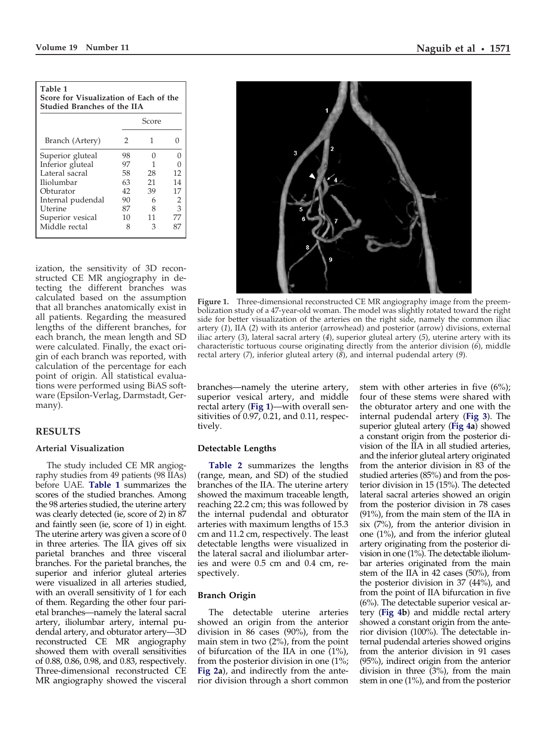| Table 1<br>Score for Visualization of Each of the<br>Studied Branches of the IIA |    |       |                |  |
|----------------------------------------------------------------------------------|----|-------|----------------|--|
|                                                                                  |    | Score |                |  |
| Branch (Artery)                                                                  | 2  | 1     |                |  |
| Superior gluteal                                                                 | 98 |       |                |  |
| Inferior gluteal                                                                 | 97 |       |                |  |
| Lateral sacral                                                                   | 58 | 28    | 12             |  |
| Iliolumbar                                                                       | 63 | 21    | 14             |  |
| Obturator                                                                        | 42 | 39    | 17             |  |
| Internal pudendal                                                                | 90 | 6     | $\overline{2}$ |  |
| Uterine                                                                          | 87 |       | 3              |  |
| Superior vesical                                                                 | 10 | 11    | 77             |  |
| Middle rectal                                                                    | 8  |       |                |  |

ization, the sensitivity of 3D reconstructed CE MR angiography in detecting the different branches was calculated based on the assumption that all branches anatomically exist in all patients. Regarding the measured lengths of the different branches, for each branch, the mean length and SD were calculated. Finally, the exact origin of each branch was reported, with calculation of the percentage for each point of origin. All statistical evaluations were performed using BiAS software (Epsilon-Verlag, Darmstadt, Germany).

# **RESULTS**

## **Arterial Visualization**

The study included CE MR angiography studies from 49 patients (98 IIAs) before UAE. **Table 1** summarizes the scores of the studied branches. Among the 98 arteries studied, the uterine artery was clearly detected (ie, score of 2) in 87 and faintly seen (ie, score of 1) in eight. The uterine artery was given a score of 0 in three arteries. The IIA gives off six parietal branches and three visceral branches. For the parietal branches, the superior and inferior gluteal arteries were visualized in all arteries studied, with an overall sensitivity of 1 for each of them. Regarding the other four parietal branches—namely the lateral sacral artery, iliolumbar artery, internal pudendal artery, and obturator artery—3D reconstructed CE MR angiography showed them with overall sensitivities of 0.88, 0.86, 0.98, and 0.83, respectively. Three-dimensional reconstructed CE MR angiography showed the visceral



**Figure 1.** Three-dimensional reconstructed CE MR angiography image from the preembolization study of a 47-year-old woman. The model was slightly rotated toward the right side for better visualization of the arteries on the right side, namely the common iliac artery (*1*), IIA (*2*) with its anterior (arrowhead) and posterior (arrow) divisions, external iliac artery (*3*), lateral sacral artery (*4*), superior gluteal artery (*5*), uterine artery with its characteristic tortuous course originating directly from the anterior division (*6*), middle rectal artery (*7*), inferior gluteal artery (*8*), and internal pudendal artery (*9*).

branches—namely the uterine artery, superior vesical artery, and middle rectal artery (**Fig 1**)—with overall sensitivities of 0.97, 0.21, and 0.11, respectively.

#### **Detectable Lengths**

**[Table 2](#page-3-0)** summarizes the lengths (range, mean, and SD) of the studied branches of the IIA. The uterine artery showed the maximum traceable length, reaching 22.2 cm; this was followed by the internal pudendal and obturator arteries with maximum lengths of 15.3 cm and 11.2 cm, respectively. The least detectable lengths were visualized in the lateral sacral and iliolumbar arteries and were 0.5 cm and 0.4 cm, respectively.

## **Branch Origin**

The detectable uterine arteries showed an origin from the anterior division in 86 cases (90%), from the main stem in two (2%), from the point of bifurcation of the IIA in one (1%), from the posterior division in one (1%; **[Fig 2a](#page-3-0)**), and indirectly from the anterior division through a short common

stem with other arteries in five (6%); four of these stems were shared with the obturator artery and one with the internal pudendal artery (**[Fig 3](#page-3-0)**). The superior gluteal artery (**[Fig 4a](#page-4-0)**) showed a constant origin from the posterior division of the IIA in all studied arteries, and the inferior gluteal artery originated from the anterior division in 83 of the studied arteries (85%) and from the posterior division in 15 (15%). The detected lateral sacral arteries showed an origin from the posterior division in 78 cases (91%), from the main stem of the IIA in six (7%), from the anterior division in one (1%), and from the inferior gluteal artery originating from the posterior division in one (1%). The detectable iliolumbar arteries originated from the main stem of the IIA in 42 cases (50%), from the posterior division in 37 (44%), and from the point of IIA bifurcation in five (6%). The detectable superior vesical artery (**[Fig 4b](#page-4-0)**) and middle rectal artery showed a constant origin from the anterior division (100%). The detectable internal pudendal arteries showed origins from the anterior division in 91 cases (95%), indirect origin from the anterior division in three (3%), from the main stem in one (1%), and from the posterior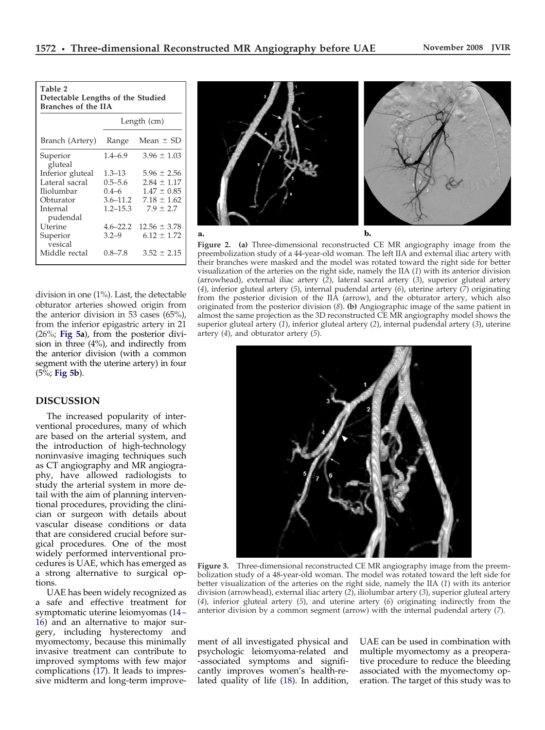<span id="page-3-0"></span>

| Table 2<br>Detectable Lengths of the Studied<br><b>Branches of the IIA</b> |              |                  |  |
|----------------------------------------------------------------------------|--------------|------------------|--|
|                                                                            | Length (cm)  |                  |  |
| Branch (Artery)                                                            | Range        | Mean $\pm$ SD    |  |
| Superior<br>gluteal                                                        | $1.4 - 6.9$  | $3.96 \pm 1.03$  |  |
| Inferior gluteal                                                           | $1.3 - 13$   | $5.96 \pm 2.56$  |  |
| Lateral sacral                                                             | $0.5 - 5.6$  | $2.84 \pm 1.17$  |  |
| Iliolumbar                                                                 | $0.4 - 6$    | $1.47 \pm 0.85$  |  |
| Obturator                                                                  | $3.6 - 11.2$ | $7.18 \pm 1.62$  |  |
| Internal<br>pudendal                                                       | $1.2 - 15.3$ | $7.9 + 2.7$      |  |
| Uterine                                                                    | $4.6 - 22.2$ | $12.56 \pm 3.78$ |  |
| Superior<br>vesical                                                        | $3.2 - 9$    | $6.12 \pm 1.72$  |  |
| Middle rectal                                                              | $0.8 - 7.8$  | $3.52 \pm 2.15$  |  |

division in one (1%). Last, the detectable obturator arteries showed origin from the anterior division in 53 cases (65%), from the inferior epigastric artery in 21 (26%; **[Fig 5a](#page-4-0)**), from the posterior division in three (4%), and indirectly from the anterior division (with a common segment with the uterine artery) in four (5%; **[Fig 5b](#page-4-0)**).

#### **DISCUSSION**

The increased popularity of interventional procedures, many of which are based on the arterial system, and the introduction of high-technology noninvasive imaging techniques such as CT angiography and MR angiography, have allowed radiologists to study the arterial system in more detail with the aim of planning interventional procedures, providing the clinician or surgeon with details about vascular disease conditions or data that are considered crucial before surgical procedures. One of the most widely performed interventional procedures is UAE, which has emerged as a strong alternative to surgical options.

UAE has been widely recognized as a safe and effective treatment for symptomatic uterine leiomyomas [\(14 –](#page-6-0) [16\)](#page-6-0) and an alternative to major surgery, including hysterectomy and myomectomy, because this minimally invasive treatment can contribute to improved symptoms with few major complications [\(17\)](#page-6-0). It leads to impressive midterm and long-term improve-



**Figure 2. (a)** Three-dimensional reconstructed CE MR angiography image from the preembolization study of a 44-year-old woman. The left IIA and external iliac artery with their branches were masked and the model was rotated toward the right side for better visualization of the arteries on the right side, namely the IIA (*1*) with its anterior division (arrowhead), external iliac artery (*2*), lateral sacral artery (*3*), superior gluteal artery (*4*), inferior gluteal artery (*5*), internal pudendal artery (*6*), uterine artery (*7*) originating from the posterior division of the IIA (arrow), and the obturator artery, which also originated from the posterior division (*8*). **(b)** Angiographic image of the same patient in almost the same projection as the 3D reconstructed CE MR angiography model shows the superior gluteal artery (*1*), inferior gluteal artery (*2*), internal pudendal artery (*3*), uterine artery (*4*), and obturator artery (*5*).

![](_page_3_Picture_9.jpeg)

**Figure 3.** Three-dimensional reconstructed CE MR angiography image from the preembolization study of a 48-year-old woman. The model was rotated toward the left side for better visualization of the arteries on the right side, namely the IIA (*1*) with its anterior division (arrowhead), external iliac artery (*2*), iliolumbar artery (*3*), superior gluteal artery (*4*), inferior gluteal artery (*5*), and uterine artery (*6*) originating indirectly from the anterior division by a common segment (arrow) with the internal pudendal artery (*7*).

ment of all investigated physical and psychologic leiomyoma-related and -associated symptoms and significantly improves women's health-related quality of life [\(18\)](#page-6-0). In addition,

UAE can be used in combination with multiple myomectomy as a preoperative procedure to reduce the bleeding associated with the myomectomy operation. The target of this study was to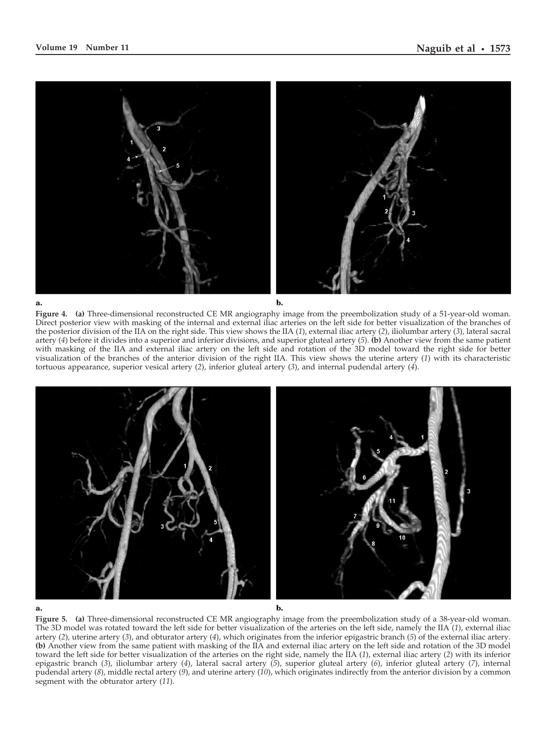<span id="page-4-0"></span>![](_page_4_Picture_2.jpeg)

**Figure 4. (a)** Three-dimensional reconstructed CE MR angiography image from the preembolization study of a 51-year-old woman. Direct posterior view with masking of the internal and external iliac arteries on the left side for better visualization of the branches of the posterior division of the IIA on the right side. This view shows the IIA (*1*), external iliac artery (*2*), iliolumbar artery (*3*), lateral sacral artery (*4*) before it divides into a superior and inferior divisions, and superior gluteal artery (*5*). **(b)** Another view from the same patient with masking of the IIA and external iliac artery on the left side and rotation of the 3D model toward the right side for better visualization of the branches of the anterior division of the right IIA. This view shows the uterine artery (*1*) with its characteristic tortuous appearance, superior vesical artery (*2*), inferior gluteal artery (*3*), and internal pudendal artery (*4*).

![](_page_4_Figure_4.jpeg)

### a.

b.

**Figure 5. (a)** Three-dimensional reconstructed CE MR angiography image from the preembolization study of a 38-year-old woman. The 3D model was rotated toward the left side for better visualization of the arteries on the left side, namely the IIA (*1*), external iliac artery (*2*), uterine artery (*3*), and obturator artery (*4*), which originates from the inferior epigastric branch (*5*) of the external iliac artery. **(b)** Another view from the same patient with masking of the IIA and external iliac artery on the left side and rotation of the 3D model toward the left side for better visualization of the arteries on the right side, namely the IIA (*1*), external iliac artery (*2*) with its inferior epigastric branch (*3*), iliolumbar artery (*4*), lateral sacral artery (*5*), superior gluteal artery (*6*), inferior gluteal artery (*7*), internal pudendal artery (*8*), middle rectal artery (*9*), and uterine artery (*10*), which originates indirectly from the anterior division by a common segment with the obturator artery (*11*).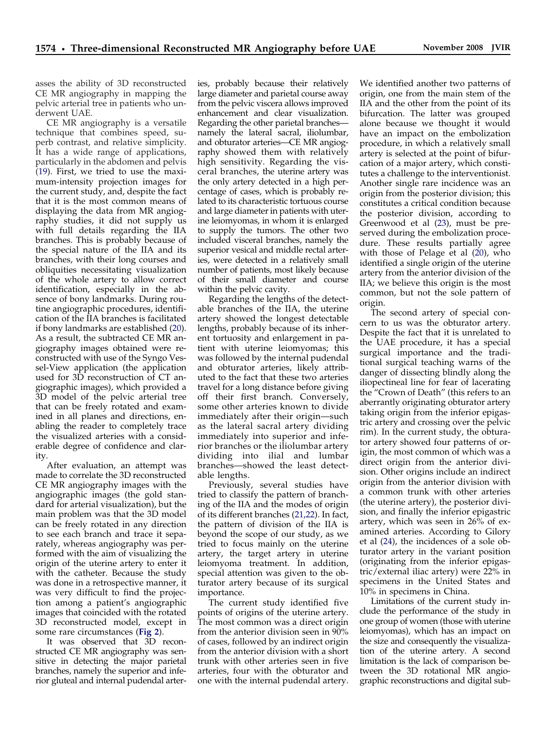asses the ability of 3D reconstructed CE MR angiography in mapping the pelvic arterial tree in patients who underwent UAE.

CE MR angiography is a versatile technique that combines speed, superb contrast, and relative simplicity. It has a wide range of applications, particularly in the abdomen and pelvis [\(19\)](#page-6-0). First, we tried to use the maximum-intensity projection images for the current study, and, despite the fact that it is the most common means of displaying the data from MR angiography studies, it did not supply us with full details regarding the IIA branches. This is probably because of the special nature of the IIA and its branches, with their long courses and obliquities necessitating visualization of the whole artery to allow correct identification, especially in the absence of bony landmarks. During routine angiographic procedures, identification of the IIA branches is facilitated if bony landmarks are established [\(20\)](#page-6-0). As a result, the subtracted CE MR angiography images obtained were reconstructed with use of the Syngo Vessel-View application (the application used for 3D reconstruction of CT angiographic images), which provided a 3D model of the pelvic arterial tree that can be freely rotated and examined in all planes and directions, enabling the reader to completely trace the visualized arteries with a considerable degree of confidence and clarity.

After evaluation, an attempt was made to correlate the 3D reconstructed CE MR angiography images with the angiographic images (the gold standard for arterial visualization), but the main problem was that the 3D model can be freely rotated in any direction to see each branch and trace it separately, whereas angiography was performed with the aim of visualizing the origin of the uterine artery to enter it with the catheter. Because the study was done in a retrospective manner, it was very difficult to find the projection among a patient's angiographic images that coincided with the rotated 3D reconstructed model, except in some rare circumstances (**[Fig 2](#page-3-0)**).

It was observed that 3D reconstructed CE MR angiography was sensitive in detecting the major parietal branches, namely the superior and inferior gluteal and internal pudendal arter-

ies, probably because their relatively large diameter and parietal course away from the pelvic viscera allows improved enhancement and clear visualization. Regarding the other parietal branches namely the lateral sacral, iliolumbar, and obturator arteries—CE MR angiography showed them with relatively high sensitivity. Regarding the visceral branches, the uterine artery was the only artery detected in a high percentage of cases, which is probably related to its characteristic tortuous course and large diameter in patients with uterine leiomyomas, in whom it is enlarged to supply the tumors. The other two included visceral branches, namely the superior vesical and middle rectal arteries, were detected in a relatively small number of patients, most likely because of their small diameter and course within the pelvic cavity.

Regarding the lengths of the detectable branches of the IIA, the uterine artery showed the longest detectable lengths, probably because of its inherent tortuosity and enlargement in patient with uterine leiomyomas; this was followed by the internal pudendal and obturator arteries, likely attributed to the fact that these two arteries travel for a long distance before giving off their first branch. Conversely, some other arteries known to divide immediately after their origin—such as the lateral sacral artery dividing immediately into superior and inferior branches or the iliolumbar artery dividing into ilial and lumbar branches—showed the least detectable lengths.

Previously, several studies have tried to classify the pattern of branching of the IIA and the modes of origin of its different branches [\(21,22\)](#page-6-0). In fact, the pattern of division of the IIA is beyond the scope of our study, as we tried to focus mainly on the uterine artery, the target artery in uterine leiomyoma treatment. In addition, special attention was given to the obturator artery because of its surgical importance.

The current study identified five points of origins of the uterine artery. The most common was a direct origin from the anterior division seen in 90% of cases, followed by an indirect origin from the anterior division with a short trunk with other arteries seen in five arteries, four with the obturator and one with the internal pudendal artery.

We identified another two patterns of origin, one from the main stem of the IIA and the other from the point of its bifurcation. The latter was grouped alone because we thought it would have an impact on the embolization procedure, in which a relatively small artery is selected at the point of bifurcation of a major artery, which constitutes a challenge to the interventionist. Another single rare incidence was an origin from the posterior division; this constitutes a critical condition because the posterior division, according to Greenwood et al [\(23\)](#page-6-0), must be preserved during the embolization procedure. These results partially agree with those of Pelage et al [\(20\)](#page-6-0), who identified a single origin of the uterine artery from the anterior division of the IIA; we believe this origin is the most common, but not the sole pattern of origin.

The second artery of special concern to us was the obturator artery. Despite the fact that it is unrelated to the UAE procedure, it has a special surgical importance and the traditional surgical teaching warns of the danger of dissecting blindly along the iliopectineal line for fear of lacerating the "Crown of Death" (this refers to an aberrantly originating obturator artery taking origin from the inferior epigastric artery and crossing over the pelvic rim). In the current study, the obturator artery showed four patterns of origin, the most common of which was a direct origin from the anterior division. Other origins include an indirect origin from the anterior division with a common trunk with other arteries (the uterine artery), the posterior division, and finally the inferior epigastric artery, which was seen in 26% of examined arteries. According to Gilory et al [\(24\)](#page-6-0), the incidences of a sole obturator artery in the variant position (originating from the inferior epigastric/external iliac artery) were 22% in specimens in the United States and 10% in specimens in China.

Limitations of the current study include the performance of the study in one group of women (those with uterine leiomyomas), which has an impact on the size and consequently the visualization of the uterine artery. A second limitation is the lack of comparison between the 3D rotational MR angiographic reconstructions and digital sub-